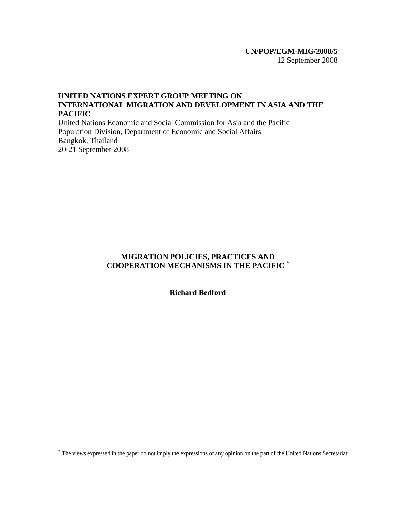## **UN/POP/EGM-MIG/2008/5**  12 September 2008

## **UNITED NATIONS EXPERT GROUP MEETING ON INTERNATIONAL MIGRATION AND DEVELOPMENT IN ASIA AND THE PACIFIC**

United Nations Economic and Social Commission for Asia and the Pacific Population Division, Department of Economic and Social Affairs Bangkok, Thailand 20-21 September 2008

## **MIGRATION POLICIES, PRACTICES AND COOPERATION MECHANISMS IN THE PACIFIC** \*

**Richard Bedford** 

 $\overline{a}$ 

<sup>\*</sup> The views expressed in the paper do not imply the expressions of any opinion on the part of the United Nations Secretariat.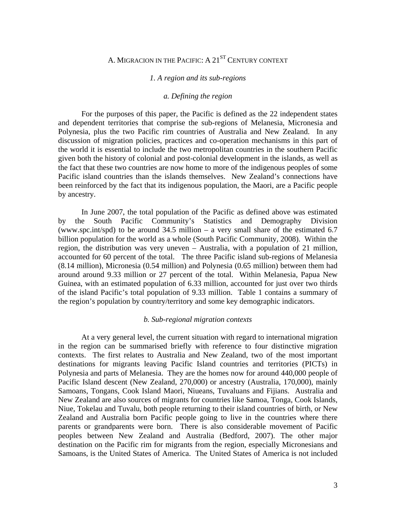# A. MIGRACION IN THE PACIFIC: A 21<sup>ST</sup> CENTURY CONTEXT

### *1. A region and its sub-regions*

## *a. Defining the region*

For the purposes of this paper, the Pacific is defined as the 22 independent states and dependent territories that comprise the sub-regions of Melanesia, Micronesia and Polynesia, plus the two Pacific rim countries of Australia and New Zealand. In any discussion of migration policies, practices and co-operation mechanisms in this part of the world it is essential to include the two metropolitan countries in the southern Pacific given both the history of colonial and post-colonial development in the islands, as well as the fact that these two countries are now home to more of the indigenous peoples of some Pacific island countries than the islands themselves. New Zealand's connections have been reinforced by the fact that its indigenous population, the Maori, are a Pacific people by ancestry.

In June 2007, the total population of the Pacific as defined above was estimated by the South Pacific Community's Statistics and Demography Division (www.spc.int/spd) to be around 34.5 million – a very small share of the estimated 6.7 billion population for the world as a whole (South Pacific Community, 2008). Within the region, the distribution was very uneven – Australia, with a population of 21 million, accounted for 60 percent of the total. The three Pacific island sub-regions of Melanesia (8.14 million), Micronesia (0.54 million) and Polynesia (0.65 million) between them had around around 9.33 million or 27 percent of the total. Within Melanesia, Papua New Guinea, with an estimated population of 6.33 million, accounted for just over two thirds of the island Pacific's total population of 9.33 million. Table 1 contains a summary of the region's population by country/territory and some key demographic indicators.

#### *b. Sub-regional migration contexts*

At a very general level, the current situation with regard to international migration in the region can be summarised briefly with reference to four distinctive migration contexts. The first relates to Australia and New Zealand, two of the most important destinations for migrants leaving Pacific Island countries and territories (PICTs) in Polynesia and parts of Melanesia. They are the homes now for around 440,000 people of Pacific Island descent (New Zealand, 270,000) or ancestry (Australia, 170,000), mainly Samoans, Tongans, Cook Island Maori, Niueans, Tuvaluans and Fijians. Australia and New Zealand are also sources of migrants for countries like Samoa, Tonga, Cook Islands, Niue, Tokelau and Tuvalu, both people returning to their island countries of birth, or New Zealand and Australia born Pacific people going to live in the countries where there parents or grandparents were born. There is also considerable movement of Pacific peoples between New Zealand and Australia (Bedford, 2007). The other major destination on the Pacific rim for migrants from the region, especially Micronesians and Samoans, is the United States of America. The United States of America is not included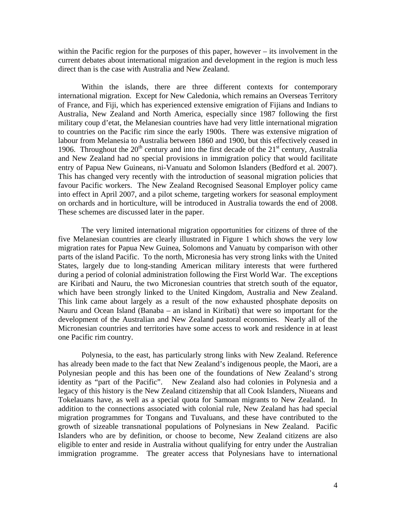within the Pacific region for the purposes of this paper, however – its involvement in the current debates about international migration and development in the region is much less direct than is the case with Australia and New Zealand.

Within the islands, there are three different contexts for contemporary international migration. Except for New Caledonia, which remains an Overseas Territory of France, and Fiji, which has experienced extensive emigration of Fijians and Indians to Australia, New Zealand and North America, especially since 1987 following the first military coup d'etat, the Melanesian countries have had very little international migration to countries on the Pacific rim since the early 1900s. There was extensive migration of labour from Melanesia to Australia between 1860 and 1900, but this effectively ceased in 1906. Throughout the  $20<sup>th</sup>$  century and into the first decade of the  $21<sup>st</sup>$  century, Australia and New Zealand had no special provisions in immigration policy that would facilitate entry of Papua New Guineans, ni-Vanuatu and Solomon Islanders (Bedford et al. 2007). This has changed very recently with the introduction of seasonal migration policies that favour Pacific workers. The New Zealand Recognised Seasonal Employer policy came into effect in April 2007, and a pilot scheme, targeting workers for seasonal employment on orchards and in horticulture, will be introduced in Australia towards the end of 2008. These schemes are discussed later in the paper.

The very limited international migration opportunities for citizens of three of the five Melanesian countries are clearly illustrated in Figure 1 which shows the very low migration rates for Papua New Guinea, Solomons and Vanuatu by comparison with other parts of the island Pacific. To the north, Micronesia has very strong links with the United States, largely due to long-standing American military interests that were furthered during a period of colonial administration following the First World War. The exceptions are Kiribati and Nauru, the two Micronesian countries that stretch south of the equator, which have been strongly linked to the United Kingdom, Australia and New Zealand. This link came about largely as a result of the now exhausted phosphate deposits on Nauru and Ocean Island (Banaba – an island in Kiribati) that were so important for the development of the Australian and New Zealand pastoral economies. Nearly all of the Micronesian countries and territories have some access to work and residence in at least one Pacific rim country.

Polynesia, to the east, has particularly strong links with New Zealand. Reference has already been made to the fact that New Zealand's indigenous people, the Maori, are a Polynesian people and this has been one of the foundations of New Zealand's strong identity as "part of the Pacific". New Zealand also had colonies in Polynesia and a legacy of this history is the New Zealand citizenship that all Cook Islanders, Niueans and Tokelauans have, as well as a special quota for Samoan migrants to New Zealand. In addition to the connections associated with colonial rule, New Zealand has had special migration programmes for Tongans and Tuvaluans, and these have contributed to the growth of sizeable transnational populations of Polynesians in New Zealand. Pacific Islanders who are by definition, or choose to become, New Zealand citizens are also eligible to enter and reside in Australia without qualifying for entry under the Australian immigration programme. The greater access that Polynesians have to international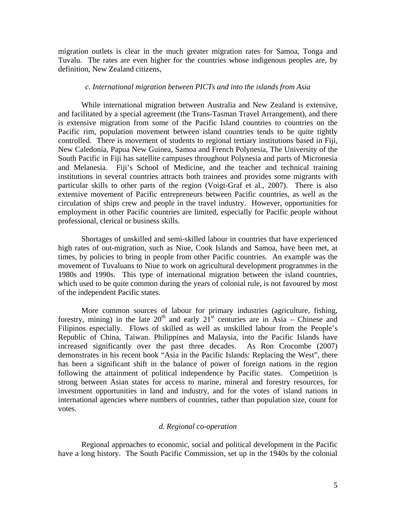migration outlets is clear in the much greater migration rates for Samoa, Tonga and Tuvalu. The rates are even higher for the countries whose indigenous peoples are, by definition, New Zealand citizens,

#### *c. International migration between PICTs and into the islands from Asia*

While international migration between Australia and New Zealand is extensive, and facilitated by a special agreement (the Trans-Tasman Travel Arrangement), and there is extensive migration from some of the Pacific Island countries to countries on the Pacific rim, population movement between island countries tends to be quite tightly controlled. There is movement of students to regional tertiary institutions based in Fiji, New Caledonia, Papua New Guinea, Samoa and French Polynesia, The University of the South Pacific in Fiji has satellite campuses throughout Polynesia and parts of Micronesia and Melanesia. Fiji's School of Medicine, and the teacher and technical training institutions in several countries attracts both trainees and provides some migrants with particular skills to other parts of the region (Voigt-Graf et al., 2007). There is also extensive movement of Pacific entrepreneurs between Pacific countries, as well as the circulation of ships crew and people in the travel industry. However, opportunities for employment in other Pacific countries are limited, especially for Pacific people without professional, clerical or business skills.

Shortages of unskilled and semi-skilled labour in countries that have experienced high rates of out-migration, such as Niue, Cook Islands and Samoa, have been met, at times, by policies to bring in people from other Pacific countries. An example was the movement of Tuvaluans to Niue to work on agricultural development programmes in the 1980s and 1990s. This type of international migration between the island countries, which used to be quite common during the years of colonial rule, is not favoured by most of the independent Pacific states.

More common sources of labour for primary industries (agriculture, fishing, forestry, mining) in the late  $20<sup>th</sup>$  and early  $21<sup>st</sup>$  centuries are in Asia – Chinese and Filipinos especially. Flows of skilled as well as unskilled labour from the People's Republic of China, Taiwan. Philippines and Malaysia, into the Pacific Islands have increased significantly over the past three decades. As Ron Crocombe (2007) demonstrates in his recent book "Asia in the Pacific Islands: Replacing the West", there has been a significant shift in the balance of power of foreign nations in the region following the attainment of political independence by Pacific states. Competition is strong between Asian states for access to marine, mineral and forestry resources, for investment opportunities in land and industry, and for the votes of island nations in international agencies where numbers of countries, rather than population size, count for votes.

#### *d. Regional co-operation*

Regional approaches to economic, social and political development in the Pacific have a long history. The South Pacific Commission, set up in the 1940s by the colonial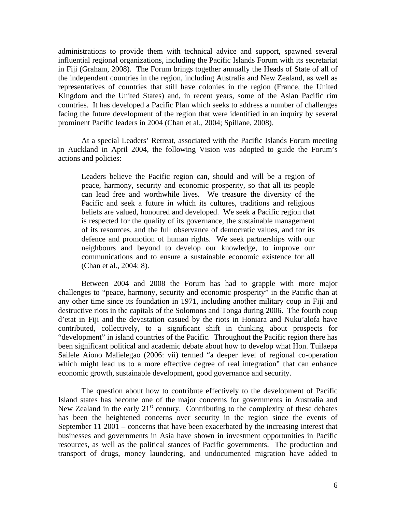administrations to provide them with technical advice and support, spawned several influential regional organizations, including the Pacific Islands Forum with its secretariat in Fiji (Graham, 2008). The Forum brings together annually the Heads of State of all of the independent countries in the region, including Australia and New Zealand, as well as representatives of countries that still have colonies in the region (France, the United Kingdom and the United States) and, in recent years, some of the Asian Pacific rim countries. It has developed a Pacific Plan which seeks to address a number of challenges facing the future development of the region that were identified in an inquiry by several prominent Pacific leaders in 2004 (Chan et al., 2004; Spillane, 2008).

At a special Leaders' Retreat, associated with the Pacific Islands Forum meeting in Auckland in April 2004, the following Vision was adopted to guide the Forum's actions and policies:

Leaders believe the Pacific region can, should and will be a region of peace, harmony, security and economic prosperity, so that all its people can lead free and worthwhile lives. We treasure the diversity of the Pacific and seek a future in which its cultures, traditions and religious beliefs are valued, honoured and developed. We seek a Pacific region that is respected for the quality of its governance, the sustainable management of its resources, and the full observance of democratic values, and for its defence and promotion of human rights. We seek partnerships with our neighbours and beyond to develop our knowledge, to improve our communications and to ensure a sustainable economic existence for all (Chan et al., 2004: 8).

Between 2004 and 2008 the Forum has had to grapple with more major challenges to "peace, harmony, security and economic prosperity" in the Pacific than at any other time since its foundation in 1971, including another military coup in Fiji and destructive riots in the capitals of the Solomons and Tonga during 2006. The fourth coup d'etat in Fiji and the devastation casued by the riots in Honiara and Nuku'alofa have contributed, collectively, to a significant shift in thinking about prospects for "development" in island countries of the Pacific. Throughout the Pacific region there has been significant political and academic debate about how to develop what Hon. Tuilaepa Sailele Aiono Malielegao (2006: vii) termed "a deeper level of regional co-operation which might lead us to a more effective degree of real integration" that can enhance economic growth, sustainable development, good governance and security.

The question about how to contribute effectively to the development of Pacific Island states has become one of the major concerns for governments in Australia and New Zealand in the early  $21<sup>st</sup>$  century. Contributing to the complexity of these debates has been the heightened concerns over security in the region since the events of September 11 2001 – concerns that have been exacerbated by the increasing interest that businesses and governments in Asia have shown in investment opportunities in Pacific resources, as well as the political stances of Pacific governments. The production and transport of drugs, money laundering, and undocumented migration have added to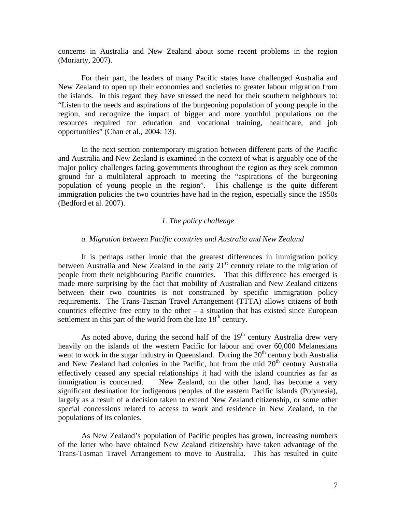concerns in Australia and New Zealand about some recent problems in the region (Moriarty, 2007).

For their part, the leaders of many Pacific states have challenged Australia and New Zealand to open up their economies and societies to greater labour migration from the islands. In this regard they have stressed the need for their southern neighbours to: "Listen to the needs and aspirations of the burgeoning population of young people in the region, and recognize the impact of bigger and more youthful populations on the resources required for education and vocational training, healthcare, and job opportunities" (Chan et al., 2004: 13).

In the next section contemporary migration between different parts of the Pacific and Australia and New Zealand is examined in the context of what is arguably one of the major policy challenges facing governments throughout the region as they seek common ground for a multilateral approach to meeting the "aspirations of the burgeoning population of young people in the region". This challenge is the quite different immigration policies the two countries have had in the region, especially since the 1950s (Bedford et al. 2007).

### *1. The policy challenge*

#### *a. Migration between Pacific countries and Australia and New Zealand*

It is perhaps rather ironic that the greatest differences in immigration policy between Australia and New Zealand in the early  $21<sup>st</sup>$  century relate to the migration of people from their neighbouring Pacific countries. That this difference has emerged is made more surprising by the fact that mobility of Australian and New Zealand citizens between their two countries is not constrained by specific immigration policy requirements. The Trans-Tasman Travel Arrangement (TTTA) allows citizens of both countries effective free entry to the other – a situation that has existed since European settlement in this part of the world from the late  $18<sup>th</sup>$  century.

As noted above, during the second half of the  $19<sup>th</sup>$  century Australia drew very heavily on the islands of the western Pacific for labour and over 60,000 Melanesians went to work in the sugar industry in Queensland. During the  $20<sup>th</sup>$  century both Australia and New Zealand had colonies in the Pacific, but from the mid  $20<sup>th</sup>$  century Australia effectively ceased any special relationships it had with the island countries as far as immigration is concerned. New Zealand, on the other hand, has become a very significant destination for indigenous peoples of the eastern Pacific islands (Polynesia), largely as a result of a decision taken to extend New Zealand citizenship, or some other special concessions related to access to work and residence in New Zealand, to the populations of its colonies.

As New Zealand's population of Pacific peoples has grown, increasing numbers of the latter who have obtained New Zealand citizenship have taken advantage of the Trans-Tasman Travel Arrangement to move to Australia. This has resulted in quite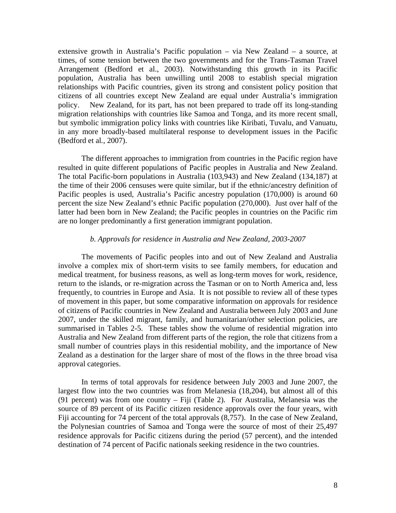extensive growth in Australia's Pacific population – via New Zealand – a source, at times, of some tension between the two governments and for the Trans-Tasman Travel Arrangement (Bedford et al., 2003). Notwithstanding this growth in its Pacific population, Australia has been unwilling until 2008 to establish special migration relationships with Pacific countries, given its strong and consistent policy position that citizens of all countries except New Zealand are equal under Australia's immigration policy. New Zealand, for its part, has not been prepared to trade off its long-standing migration relationships with countries like Samoa and Tonga, and its more recent small, but symbolic immigration policy links with countries like Kiribati, Tuvalu, and Vanuatu, in any more broadly-based multilateral response to development issues in the Pacific (Bedford et al*.*, 2007).

The different approaches to immigration from countries in the Pacific region have resulted in quite different populations of Pacific peoples in Australia and New Zealand. The total Pacific-born populations in Australia (103,943) and New Zealand (134,187) at the time of their 2006 censuses were quite similar, but if the ethnic/ancestry definition of Pacific peoples is used, Australia's Pacific ancestry population (170,000) is around 60 percent the size New Zealand's ethnic Pacific population (270,000). Just over half of the latter had been born in New Zealand; the Pacific peoples in countries on the Pacific rim are no longer predominantly a first generation immigrant population.

### *b. Approvals for residence in Australia and New Zealand, 2003-2007*

The movements of Pacific peoples into and out of New Zealand and Australia involve a complex mix of short-term visits to see family members, for education and medical treatment, for business reasons, as well as long-term moves for work, residence, return to the islands, or re-migration across the Tasman or on to North America and, less frequently, to countries in Europe and Asia. It is not possible to review all of these types of movement in this paper, but some comparative information on approvals for residence of citizens of Pacific countries in New Zealand and Australia between July 2003 and June 2007, under the skilled migrant, family, and humanitarian/other selection policies, are summarised in Tables 2-5. These tables show the volume of residential migration into Australia and New Zealand from different parts of the region, the role that citizens from a small number of countries plays in this residential mobility, and the importance of New Zealand as a destination for the larger share of most of the flows in the three broad visa approval categories.

In terms of total approvals for residence between July 2003 and June 2007, the largest flow into the two countries was from Melanesia (18,204), but almost all of this (91 percent) was from one country – Fiji (Table 2). For Australia, Melanesia was the source of 89 percent of its Pacific citizen residence approvals over the four years, with Fiji accounting for 74 percent of the total approvals (8,757). In the case of New Zealand, the Polynesian countries of Samoa and Tonga were the source of most of their 25,497 residence approvals for Pacific citizens during the period (57 percent), and the intended destination of 74 percent of Pacific nationals seeking residence in the two countries.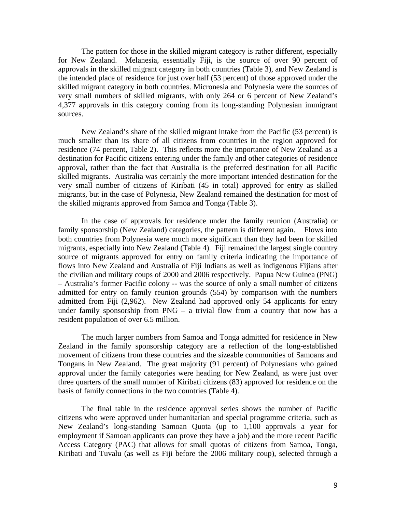The pattern for those in the skilled migrant category is rather different, especially for New Zealand. Melanesia, essentially Fiji, is the source of over 90 percent of approvals in the skilled migrant category in both countries (Table 3), and New Zealand is the intended place of residence for just over half (53 percent) of those approved under the skilled migrant category in both countries. Micronesia and Polynesia were the sources of very small numbers of skilled migrants, with only 264 or 6 percent of New Zealand's 4,377 approvals in this category coming from its long-standing Polynesian immigrant sources.

New Zealand's share of the skilled migrant intake from the Pacific (53 percent) is much smaller than its share of all citizens from countries in the region approved for residence (74 percent, Table 2). This reflects more the importance of New Zealand as a destination for Pacific citizens entering under the family and other categories of residence approval, rather than the fact that Australia is the preferred destination for all Pacific skilled migrants. Australia was certainly the more important intended destination for the very small number of citizens of Kiribati (45 in total) approved for entry as skilled migrants, but in the case of Polynesia, New Zealand remained the destination for most of the skilled migrants approved from Samoa and Tonga (Table 3).

In the case of approvals for residence under the family reunion (Australia) or family sponsorship (New Zealand) categories, the pattern is different again. Flows into both countries from Polynesia were much more significant than they had been for skilled migrants, especially into New Zealand (Table 4). Fiji remained the largest single country source of migrants approved for entry on family criteria indicating the importance of flows into New Zealand and Australia of Fiji Indians as well as indigenous Fijians after the civilian and military coups of 2000 and 2006 respectively. Papua New Guinea (PNG) – Australia's former Pacific colony -- was the source of only a small number of citizens admitted for entry on family reunion grounds (554) by comparison with the numbers admitted from Fiji (2,962). New Zealand had approved only 54 applicants for entry under family sponsorship from  $PNG - a$  trivial flow from a country that now has a resident population of over 6.5 million.

The much larger numbers from Samoa and Tonga admitted for residence in New Zealand in the family sponsorship category are a reflection of the long-established movement of citizens from these countries and the sizeable communities of Samoans and Tongans in New Zealand. The great majority (91 percent) of Polynesians who gained approval under the family categories were heading for New Zealand, as were just over three quarters of the small number of Kiribati citizens (83) approved for residence on the basis of family connections in the two countries (Table 4).

The final table in the residence approval series shows the number of Pacific citizens who were approved under humanitarian and special programme criteria, such as New Zealand's long-standing Samoan Quota (up to 1,100 approvals a year for employment if Samoan applicants can prove they have a job) and the more recent Pacific Access Category (PAC) that allows for small quotas of citizens from Samoa, Tonga, Kiribati and Tuvalu (as well as Fiji before the 2006 military coup), selected through a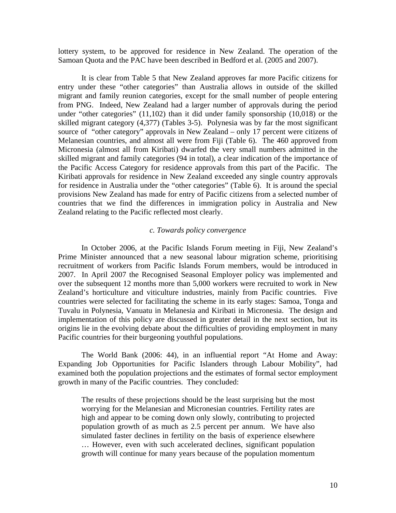lottery system, to be approved for residence in New Zealand. The operation of the Samoan Quota and the PAC have been described in Bedford et al. (2005 and 2007).

It is clear from Table 5 that New Zealand approves far more Pacific citizens for entry under these "other categories" than Australia allows in outside of the skilled migrant and family reunion categories, except for the small number of people entering from PNG. Indeed, New Zealand had a larger number of approvals during the period under "other categories" (11,102) than it did under family sponsorship (10,018) or the skilled migrant category (4,377) (Tables 3-5). Polynesia was by far the most significant source of "other category" approvals in New Zealand – only 17 percent were citizens of Melanesian countries, and almost all were from Fiji (Table 6). The 460 approved from Micronesia (almost all from Kiribati) dwarfed the very small numbers admitted in the skilled migrant and family categories (94 in total), a clear indication of the importance of the Pacific Access Category for residence approvals from this part of the Pacific. The Kiribati approvals for residence in New Zealand exceeded any single country approvals for residence in Australia under the "other categories" (Table 6). It is around the special provisions New Zealand has made for entry of Pacific citizens from a selected number of countries that we find the differences in immigration policy in Australia and New Zealand relating to the Pacific reflected most clearly.

#### *c. Towards policy convergence*

In October 2006, at the Pacific Islands Forum meeting in Fiji, New Zealand's Prime Minister announced that a new seasonal labour migration scheme, prioritising recruitment of workers from Pacific Islands Forum members, would be introduced in 2007. In April 2007 the Recognised Seasonal Employer policy was implemented and over the subsequent 12 months more than 5,000 workers were recruited to work in New Zealand's horticulture and viticulture industries, mainly from Pacific countries. Five countries were selected for facilitating the scheme in its early stages: Samoa, Tonga and Tuvalu in Polynesia, Vanuatu in Melanesia and Kiribati in Micronesia. The design and implementation of this policy are discussed in greater detail in the next section, but its origins lie in the evolving debate about the difficulties of providing employment in many Pacific countries for their burgeoning youthful populations.

The World Bank (2006: 44), in an influential report "At Home and Away: Expanding Job Opportunities for Pacific Islanders through Labour Mobility", had examined both the population projections and the estimates of formal sector employment growth in many of the Pacific countries. They concluded:

The results of these projections should be the least surprising but the most worrying for the Melanesian and Micronesian countries. Fertility rates are high and appear to be coming down only slowly, contributing to projected population growth of as much as 2.5 percent per annum. We have also simulated faster declines in fertility on the basis of experience elsewhere … However, even with such accelerated declines, significant population growth will continue for many years because of the population momentum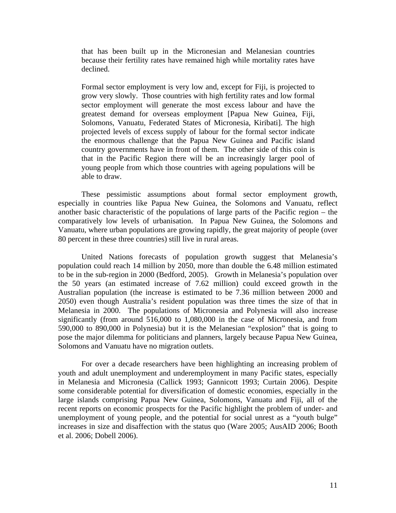that has been built up in the Micronesian and Melanesian countries because their fertility rates have remained high while mortality rates have declined.

Formal sector employment is very low and, except for Fiji, is projected to grow very slowly. Those countries with high fertility rates and low formal sector employment will generate the most excess labour and have the greatest demand for overseas employment [Papua New Guinea, Fiji, Solomons, Vanuatu, Federated States of Micronesia, Kiribati]. The high projected levels of excess supply of labour for the formal sector indicate the enormous challenge that the Papua New Guinea and Pacific island country governments have in front of them. The other side of this coin is that in the Pacific Region there will be an increasingly larger pool of young people from which those countries with ageing populations will be able to draw.

These pessimistic assumptions about formal sector employment growth, especially in countries like Papua New Guinea, the Solomons and Vanuatu, reflect another basic characteristic of the populations of large parts of the Pacific region – the comparatively low levels of urbanisation. In Papua New Guinea, the Solomons and Vanuatu, where urban populations are growing rapidly, the great majority of people (over 80 percent in these three countries) still live in rural areas.

United Nations forecasts of population growth suggest that Melanesia's population could reach 14 million by 2050, more than double the 6.48 million estimated to be in the sub-region in 2000 (Bedford, 2005). Growth in Melanesia's population over the 50 years (an estimated increase of 7.62 million) could exceed growth in the Australian population (the increase is estimated to be 7.36 million between 2000 and 2050) even though Australia's resident population was three times the size of that in Melanesia in 2000. The populations of Micronesia and Polynesia will also increase significantly (from around 516,000 to 1,080,000 in the case of Micronesia, and from 590,000 to 890,000 in Polynesia) but it is the Melanesian "explosion" that is going to pose the major dilemma for politicians and planners, largely because Papua New Guinea, Solomons and Vanuatu have no migration outlets.

For over a decade researchers have been highlighting an increasing problem of youth and adult unemployment and underemployment in many Pacific states, especially in Melanesia and Micronesia (Callick 1993; Gannicott 1993; Curtain 2006). Despite some considerable potential for diversification of domestic economies, especially in the large islands comprising Papua New Guinea, Solomons, Vanuatu and Fiji, all of the recent reports on economic prospects for the Pacific highlight the problem of under- and unemployment of young people, and the potential for social unrest as a "youth bulge" increases in size and disaffection with the status quo (Ware 2005; AusAID 2006; Booth et al. 2006; Dobell 2006).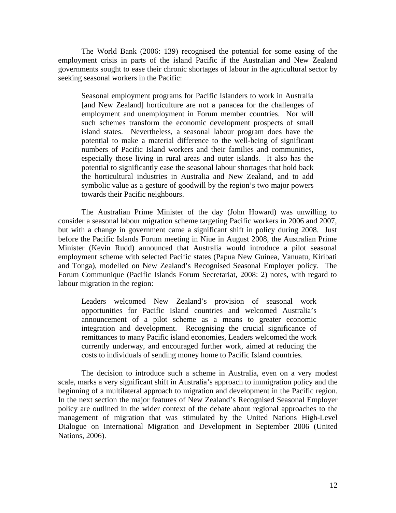The World Bank (2006: 139) recognised the potential for some easing of the employment crisis in parts of the island Pacific if the Australian and New Zealand governments sought to ease their chronic shortages of labour in the agricultural sector by seeking seasonal workers in the Pacific:

Seasonal employment programs for Pacific Islanders to work in Australia [and New Zealand] horticulture are not a panacea for the challenges of employment and unemployment in Forum member countries. Nor will such schemes transform the economic development prospects of small island states. Nevertheless, a seasonal labour program does have the potential to make a material difference to the well-being of significant numbers of Pacific Island workers and their families and communities, especially those living in rural areas and outer islands. It also has the potential to significantly ease the seasonal labour shortages that hold back the horticultural industries in Australia and New Zealand, and to add symbolic value as a gesture of goodwill by the region's two major powers towards their Pacific neighbours.

The Australian Prime Minister of the day (John Howard) was unwilling to consider a seasonal labour migration scheme targeting Pacific workers in 2006 and 2007, but with a change in government came a significant shift in policy during 2008. Just before the Pacific Islands Forum meeting in Niue in August 2008, the Australian Prime Minister (Kevin Rudd) announced that Australia would introduce a pilot seasonal employment scheme with selected Pacific states (Papua New Guinea, Vanuatu, Kiribati and Tonga), modelled on New Zealand's Recognised Seasonal Employer policy. The Forum Communique (Pacific Islands Forum Secretariat, 2008: 2) notes, with regard to labour migration in the region:

Leaders welcomed New Zealand's provision of seasonal work opportunities for Pacific Island countries and welcomed Australia's announcement of a pilot scheme as a means to greater economic integration and development. Recognising the crucial significance of remittances to many Pacific island economies, Leaders welcomed the work currently underway, and encouraged further work, aimed at reducing the costs to individuals of sending money home to Pacific Island countries.

The decision to introduce such a scheme in Australia, even on a very modest scale, marks a very significant shift in Australia's approach to immigration policy and the beginning of a multilateral approach to migration and development in the Pacific region. In the next section the major features of New Zealand's Recognised Seasonal Employer policy are outlined in the wider context of the debate about regional approaches to the management of migration that was stimulated by the United Nations High-Level Dialogue on International Migration and Development in September 2006 (United Nations, 2006).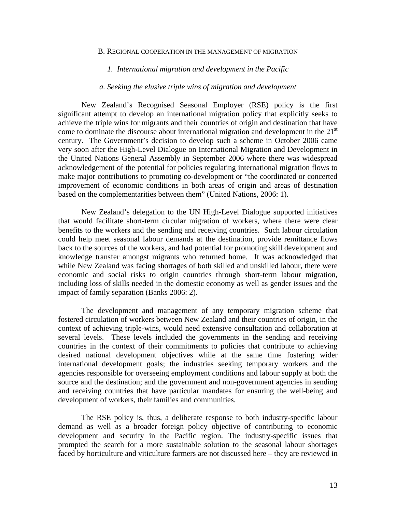#### B. REGIONAL COOPERATION IN THE MANAGEMENT OF MIGRATION

#### *1. International migration and development in the Pacific*

### *a. Seeking the elusive triple wins of migration and development*

New Zealand's Recognised Seasonal Employer (RSE) policy is the first significant attempt to develop an international migration policy that explicitly seeks to achieve the triple wins for migrants and their countries of origin and destination that have come to dominate the discourse about international migration and development in the  $21<sup>st</sup>$ century. The Government's decision to develop such a scheme in October 2006 came very soon after the High-Level Dialogue on International Migration and Development in the United Nations General Assembly in September 2006 where there was widespread acknowledgement of the potential for policies regulating international migration flows to make major contributions to promoting co-development or "the coordinated or concerted improvement of economic conditions in both areas of origin and areas of destination based on the complementarities between them" (United Nations, 2006: 1).

New Zealand's delegation to the UN High-Level Dialogue supported initiatives that would facilitate short-term circular migration of workers, where there were clear benefits to the workers and the sending and receiving countries. Such labour circulation could help meet seasonal labour demands at the destination, provide remittance flows back to the sources of the workers, and had potential for promoting skill development and knowledge transfer amongst migrants who returned home. It was acknowledged that while New Zealand was facing shortages of both skilled and unskilled labour, there were economic and social risks to origin countries through short-term labour migration, including loss of skills needed in the domestic economy as well as gender issues and the impact of family separation (Banks 2006: 2).

The development and management of any temporary migration scheme that fostered circulation of workers between New Zealand and their countries of origin, in the context of achieving triple-wins, would need extensive consultation and collaboration at several levels. These levels included the governments in the sending and receiving countries in the context of their commitments to policies that contribute to achieving desired national development objectives while at the same time fostering wider international development goals; the industries seeking temporary workers and the agencies responsible for overseeing employment conditions and labour supply at both the source and the destination; and the government and non-government agencies in sending and receiving countries that have particular mandates for ensuring the well-being and development of workers, their families and communities.

The RSE policy is, thus, a deliberate response to both industry-specific labour demand as well as a broader foreign policy objective of contributing to economic development and security in the Pacific region. The industry-specific issues that prompted the search for a more sustainable solution to the seasonal labour shortages faced by horticulture and viticulture farmers are not discussed here – they are reviewed in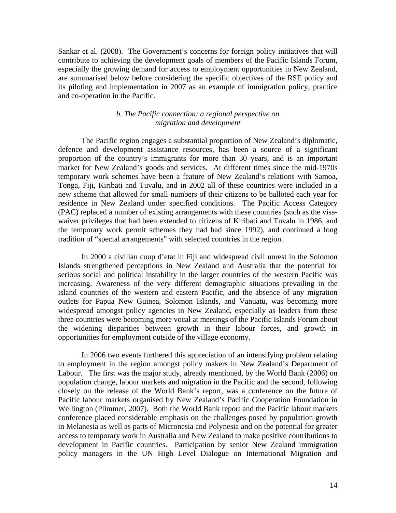Sankar et al. (2008). The Government's concerns for foreign policy initiatives that will contribute to achieving the development goals of members of the Pacific Islands Forum, especially the growing demand for access to employment opportunities in New Zealand, are summarised below before considering the specific objectives of the RSE policy and its piloting and implementation in 2007 as an example of immigration policy, practice and co-operation in the Pacific.

## *b. The Pacific connection: a regional perspective on migration and development*

The Pacific region engages a substantial proportion of New Zealand's diplomatic, defence and development assistance resources, has been a source of a significant proportion of the country's immigrants for more than 30 years, and is an important market for New Zealand's goods and services. At different times since the mid-1970s temporary work schemes have been a feature of New Zealand's relations with Samoa, Tonga, Fiji, Kiribati and Tuvalu, and in 2002 all of these countries were included in a new scheme that allowed for small numbers of their citizens to be balloted each year for residence in New Zealand under specified conditions. The Pacific Access Category (PAC) replaced a number of existing arrangements with these countries (such as the visawaiver privileges that had been extended to citizens of Kiribati and Tuvalu in 1986, and the temporary work permit schemes they had had since 1992), and continued a long tradition of "special arrangements" with selected countries in the region.

In 2000 a civilian coup d'etat in Fiji and widespread civil unrest in the Solomon Islands strengthened perceptions in New Zealand and Australia that the potential for serious social and political instability in the larger countries of the western Pacific was increasing. Awareness of the very different demographic situations prevailing in the island countries of the western and eastern Pacific, and the absence of any migration outlets for Papua New Guinea, Solomon Islands, and Vanuatu, was becoming more widespread amongst policy agencies in New Zealand, especially as leaders from these three countries were becoming more vocal at meetings of the Pacific Islands Forum about the widening disparities between growth in their labour forces, and growth in opportunities for employment outside of the village economy.

In 2006 two events furthered this appreciation of an intensifying problem relating to employment in the region amongst policy makers in New Zealand's Department of Labour. The first was the major study, already mentioned, by the World Bank (2006) on population change, labour markets and migration in the Pacific and the second, following closely on the release of the World Bank's report, was a conference on the future of Pacific labour markets organised by New Zealand's Pacific Cooperation Foundation in Wellington (Plimmer, 2007). Both the World Bank report and the Pacific labour markets conference placed considerable emphasis on the challenges posed by population growth in Melanesia as well as parts of Micronesia and Polynesia and on the potential for greater access to temporary work in Australia and New Zealand to make positive contributions to development in Pacific countries. Participation by senior New Zealand immigration policy managers in the UN High Level Dialogue on International Migration and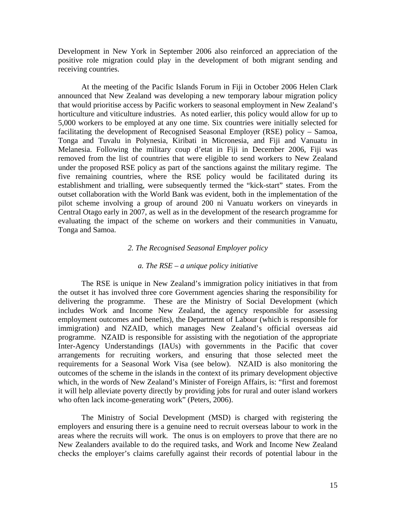Development in New York in September 2006 also reinforced an appreciation of the positive role migration could play in the development of both migrant sending and receiving countries.

At the meeting of the Pacific Islands Forum in Fiji in October 2006 Helen Clark announced that New Zealand was developing a new temporary labour migration policy that would prioritise access by Pacific workers to seasonal employment in New Zealand's horticulture and viticulture industries. As noted earlier, this policy would allow for up to 5,000 workers to be employed at any one time. Six countries were initially selected for facilitating the development of Recognised Seasonal Employer (RSE) policy – Samoa, Tonga and Tuvalu in Polynesia, Kiribati in Micronesia, and Fiji and Vanuatu in Melanesia. Following the military coup d'etat in Fiji in December 2006, Fiji was removed from the list of countries that were eligible to send workers to New Zealand under the proposed RSE policy as part of the sanctions against the military regime. The five remaining countries, where the RSE policy would be facilitated during its establishment and trialling, were subsequently termed the "kick-start" states. From the outset collaboration with the World Bank was evident, both in the implementation of the pilot scheme involving a group of around 200 ni Vanuatu workers on vineyards in Central Otago early in 2007, as well as in the development of the research programme for evaluating the impact of the scheme on workers and their communities in Vanuatu, Tonga and Samoa.

## *2. The Recognised Seasonal Employer policy*

#### *a. The RSE – a unique policy initiative*

The RSE is unique in New Zealand's immigration policy initiatives in that from the outset it has involved three core Government agencies sharing the responsibility for delivering the programme. These are the Ministry of Social Development (which includes Work and Income New Zealand, the agency responsible for assessing employment outcomes and benefits), the Department of Labour (which is responsible for immigration) and NZAID, which manages New Zealand's official overseas aid programme. NZAID is responsible for assisting with the negotiation of the appropriate Inter-Agency Understandings (IAUs) with governments in the Pacific that cover arrangements for recruiting workers, and ensuring that those selected meet the requirements for a Seasonal Work Visa (see below). NZAID is also monitoring the outcomes of the scheme in the islands in the context of its primary development objective which, in the words of New Zealand's Minister of Foreign Affairs, is: "first and foremost it will help alleviate poverty directly by providing jobs for rural and outer island workers who often lack income-generating work" (Peters, 2006).

The Ministry of Social Development (MSD) is charged with registering the employers and ensuring there is a genuine need to recruit overseas labour to work in the areas where the recruits will work. The onus is on employers to prove that there are no New Zealanders available to do the required tasks, and Work and Income New Zealand checks the employer's claims carefully against their records of potential labour in the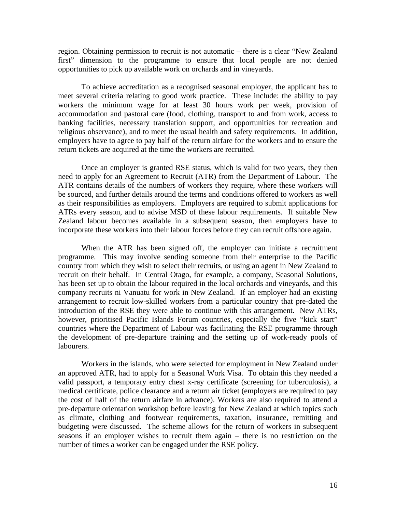region. Obtaining permission to recruit is not automatic – there is a clear "New Zealand first" dimension to the programme to ensure that local people are not denied opportunities to pick up available work on orchards and in vineyards.

To achieve accreditation as a recognised seasonal employer, the applicant has to meet several criteria relating to good work practice. These include: the ability to pay workers the minimum wage for at least 30 hours work per week, provision of accommodation and pastoral care (food, clothing, transport to and from work, access to banking facilities, necessary translation support, and opportunities for recreation and religious observance), and to meet the usual health and safety requirements. In addition, employers have to agree to pay half of the return airfare for the workers and to ensure the return tickets are acquired at the time the workers are recruited.

Once an employer is granted RSE status, which is valid for two years, they then need to apply for an Agreement to Recruit (ATR) from the Department of Labour. The ATR contains details of the numbers of workers they require, where these workers will be sourced, and further details around the terms and conditions offered to workers as well as their responsibilities as employers. Employers are required to submit applications for ATRs every season, and to advise MSD of these labour requirements. If suitable New Zealand labour becomes available in a subsequent season, then employers have to incorporate these workers into their labour forces before they can recruit offshore again.

When the ATR has been signed off, the employer can initiate a recruitment programme. This may involve sending someone from their enterprise to the Pacific country from which they wish to select their recruits, or using an agent in New Zealand to recruit on their behalf. In Central Otago, for example, a company, Seasonal Solutions, has been set up to obtain the labour required in the local orchards and vineyards, and this company recruits ni Vanuatu for work in New Zealand. If an employer had an existing arrangement to recruit low-skilled workers from a particular country that pre-dated the introduction of the RSE they were able to continue with this arrangement. New ATRs, however, prioritised Pacific Islands Forum countries, especially the five "kick start" countries where the Department of Labour was facilitating the RSE programme through the development of pre-departure training and the setting up of work-ready pools of labourers.

Workers in the islands, who were selected for employment in New Zealand under an approved ATR, had to apply for a Seasonal Work Visa. To obtain this they needed a valid passport, a temporary entry chest x-ray certificate (screening for tuberculosis), a medical certificate, police clearance and a return air ticket (employers are required to pay the cost of half of the return airfare in advance). Workers are also required to attend a pre-departure orientation workshop before leaving for New Zealand at which topics such as climate, clothing and footwear requirements, taxation, insurance, remitting and budgeting were discussed. The scheme allows for the return of workers in subsequent seasons if an employer wishes to recruit them again – there is no restriction on the number of times a worker can be engaged under the RSE policy.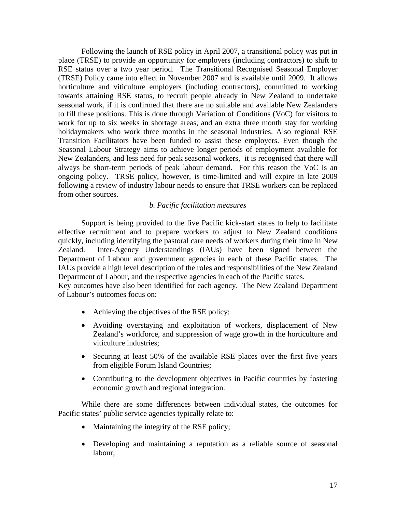Following the launch of RSE policy in April 2007, a transitional policy was put in place (TRSE) to provide an opportunity for employers (including contractors) to shift to RSE status over a two year period. The Transitional Recognised Seasonal Employer (TRSE) Policy came into effect in November 2007 and is available until 2009. It allows horticulture and viticulture employers (including contractors), committed to working towards attaining RSE status, to recruit people already in New Zealand to undertake seasonal work, if it is confirmed that there are no suitable and available New Zealanders to fill these positions. This is done through Variation of Conditions (VoC) for visitors to work for up to six weeks in shortage areas, and an extra three month stay for working holidaymakers who work three months in the seasonal industries. Also regional RSE Transition Facilitators have been funded to assist these employers. Even though the Seasonal Labour Strategy aims to achieve longer periods of employment available for New Zealanders, and less need for peak seasonal workers, it is recognised that there will always be short-term periods of peak labour demand. For this reason the VoC is an ongoing policy. TRSE policy, however, is time-limited and will expire in late 2009 following a review of industry labour needs to ensure that TRSE workers can be replaced from other sources.

### *b. Pacific facilitation measures*

Support is being provided to the five Pacific kick-start states to help to facilitate effective recruitment and to prepare workers to adjust to New Zealand conditions quickly, including identifying the pastoral care needs of workers during their time in New Zealand. Inter-Agency Understandings (IAUs) have been signed between the Department of Labour and government agencies in each of these Pacific states. The IAUs provide a high level description of the roles and responsibilities of the New Zealand Department of Labour, and the respective agencies in each of the Pacific states.

Key outcomes have also been identified for each agency. The New Zealand Department of Labour's outcomes focus on:

- Achieving the objectives of the RSE policy;
- Avoiding overstaying and exploitation of workers, displacement of New Zealand's workforce, and suppression of wage growth in the horticulture and viticulture industries;
- Securing at least 50% of the available RSE places over the first five years from eligible Forum Island Countries;
- Contributing to the development objectives in Pacific countries by fostering economic growth and regional integration.

While there are some differences between individual states, the outcomes for Pacific states' public service agencies typically relate to:

- Maintaining the integrity of the RSE policy;
- Developing and maintaining a reputation as a reliable source of seasonal labour;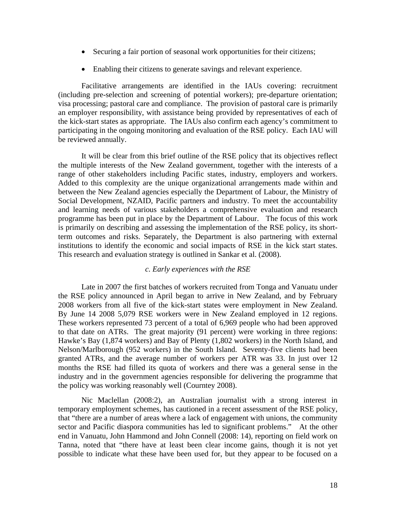- Securing a fair portion of seasonal work opportunities for their citizens;
- Enabling their citizens to generate savings and relevant experience.

Facilitative arrangements are identified in the IAUs covering: recruitment (including pre-selection and screening of potential workers); pre-departure orientation; visa processing; pastoral care and compliance. The provision of pastoral care is primarily an employer responsibility, with assistance being provided by representatives of each of the kick-start states as appropriate. The IAUs also confirm each agency's commitment to participating in the ongoing monitoring and evaluation of the RSE policy. Each IAU will be reviewed annually.

It will be clear from this brief outline of the RSE policy that its objectives reflect the multiple interests of the New Zealand government, together with the interests of a range of other stakeholders including Pacific states, industry, employers and workers. Added to this complexity are the unique organizational arrangements made within and between the New Zealand agencies especially the Department of Labour, the Ministry of Social Development, NZAID, Pacific partners and industry. To meet the accountability and learning needs of various stakeholders a comprehensive evaluation and research programme has been put in place by the Department of Labour. The focus of this work is primarily on describing and assessing the implementation of the RSE policy, its shortterm outcomes and risks. Separately, the Department is also partnering with external institutions to identify the economic and social impacts of RSE in the kick start states. This research and evaluation strategy is outlined in Sankar et al. (2008).

### *c. Early experiences with the RSE*

Late in 2007 the first batches of workers recruited from Tonga and Vanuatu under the RSE policy announced in April began to arrive in New Zealand, and by February 2008 workers from all five of the kick-start states were employment in New Zealand. By June 14 2008 5,079 RSE workers were in New Zealand employed in 12 regions. These workers represented 73 percent of a total of 6,969 people who had been approved to that date on ATRs. The great majority (91 percent) were working in three regions: Hawke's Bay (1,874 workers) and Bay of Plenty (1,802 workers) in the North Island, and Nelson/Marlborough (952 workers) in the South Island. Seventy-five clients had been granted ATRs, and the average number of workers per ATR was 33. In just over 12 months the RSE had filled its quota of workers and there was a general sense in the industry and in the government agencies responsible for delivering the programme that the policy was working reasonably well (Courntey 2008).

Nic Maclellan (2008:2), an Australian journalist with a strong interest in temporary employment schemes, has cautioned in a recent assessment of the RSE policy, that "there are a number of areas where a lack of engagement with unions, the community sector and Pacific diaspora communities has led to significant problems." At the other end in Vanuatu, John Hammond and John Connell (2008: 14), reporting on field work on Tanna, noted that "there have at least been clear income gains, though it is not yet possible to indicate what these have been used for, but they appear to be focused on a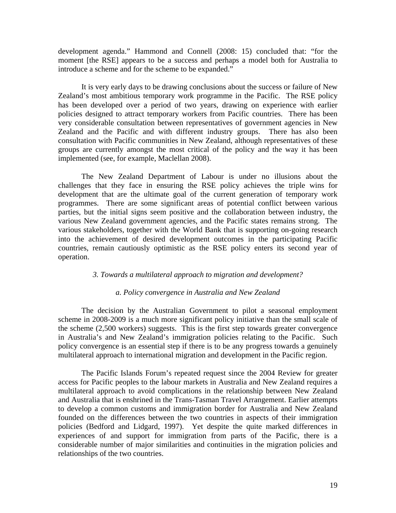development agenda." Hammond and Connell (2008: 15) concluded that: "for the moment [the RSE] appears to be a success and perhaps a model both for Australia to introduce a scheme and for the scheme to be expanded."

It is very early days to be drawing conclusions about the success or failure of New Zealand's most ambitious temporary work programme in the Pacific. The RSE policy has been developed over a period of two years, drawing on experience with earlier policies designed to attract temporary workers from Pacific countries. There has been very considerable consultation between representatives of government agencies in New Zealand and the Pacific and with different industry groups. There has also been consultation with Pacific communities in New Zealand, although representatives of these groups are currently amongst the most critical of the policy and the way it has been implemented (see, for example, Maclellan 2008).

The New Zealand Department of Labour is under no illusions about the challenges that they face in ensuring the RSE policy achieves the triple wins for development that are the ultimate goal of the current generation of temporary work programmes. There are some significant areas of potential conflict between various parties, but the initial signs seem positive and the collaboration between industry, the various New Zealand government agencies, and the Pacific states remains strong. The various stakeholders, together with the World Bank that is supporting on-going research into the achievement of desired development outcomes in the participating Pacific countries, remain cautiously optimistic as the RSE policy enters its second year of operation.

### *3. Towards a multilateral approach to migration and development?*

### *a. Policy convergence in Australia and New Zealand*

The decision by the Australian Government to pilot a seasonal employment scheme in 2008-2009 is a much more significant policy initiative than the small scale of the scheme (2,500 workers) suggests. This is the first step towards greater convergence in Australia's and New Zealand's immigration policies relating to the Pacific. Such policy convergence is an essential step if there is to be any progress towards a genuinely multilateral approach to international migration and development in the Pacific region.

The Pacific Islands Forum's repeated request since the 2004 Review for greater access for Pacific peoples to the labour markets in Australia and New Zealand requires a multilateral approach to avoid complications in the relationship between New Zealand and Australia that is enshrined in the Trans-Tasman Travel Arrangement. Earlier attempts to develop a common customs and immigration border for Australia and New Zealand founded on the differences between the two countries in aspects of their immigration policies (Bedford and Lidgard, 1997). Yet despite the quite marked differences in experiences of and support for immigration from parts of the Pacific, there is a considerable number of major similarities and continuities in the migration policies and relationships of the two countries.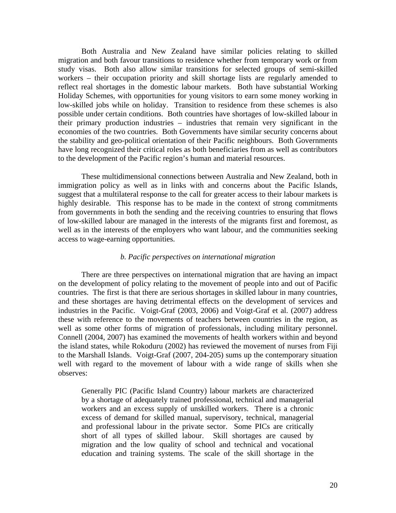Both Australia and New Zealand have similar policies relating to skilled migration and both favour transitions to residence whether from temporary work or from study visas. Both also allow similar transitions for selected groups of semi-skilled workers – their occupation priority and skill shortage lists are regularly amended to reflect real shortages in the domestic labour markets. Both have substantial Working Holiday Schemes, with opportunities for young visitors to earn some money working in low-skilled jobs while on holiday. Transition to residence from these schemes is also possible under certain conditions. Both countries have shortages of low-skilled labour in their primary production industries – industries that remain very significant in the economies of the two countries. Both Governments have similar security concerns about the stability and geo-political orientation of their Pacific neighbours. Both Governments have long recognized their critical roles as both beneficiaries from as well as contributors to the development of the Pacific region's human and material resources.

These multidimensional connections between Australia and New Zealand, both in immigration policy as well as in links with and concerns about the Pacific Islands, suggest that a multilateral response to the call for greater access to their labour markets is highly desirable. This response has to be made in the context of strong commitments from governments in both the sending and the receiving countries to ensuring that flows of low-skilled labour are managed in the interests of the migrants first and foremost, as well as in the interests of the employers who want labour, and the communities seeking access to wage-earning opportunities.

#### *b. Pacific perspectives on international migration*

There are three perspectives on international migration that are having an impact on the development of policy relating to the movement of people into and out of Pacific countries. The first is that there are serious shortages in skilled labour in many countries, and these shortages are having detrimental effects on the development of services and industries in the Pacific. Voigt-Graf (2003, 2006) and Voigt-Graf et al. (2007) address these with reference to the movements of teachers between countries in the region, as well as some other forms of migration of professionals, including military personnel. Connell (2004, 2007) has examined the movements of health workers within and beyond the island states, while Rokoduru (2002) has reviewed the movement of nurses from Fiji to the Marshall Islands. Voigt-Graf (2007, 204-205) sums up the contemporary situation well with regard to the movement of labour with a wide range of skills when she observes:

Generally PIC (Pacific Island Country) labour markets are characterized by a shortage of adequately trained professional, technical and managerial workers and an excess supply of unskilled workers. There is a chronic excess of demand for skilled manual, supervisory, technical, managerial and professional labour in the private sector. Some PICs are critically short of all types of skilled labour. Skill shortages are caused by migration and the low quality of school and technical and vocational education and training systems. The scale of the skill shortage in the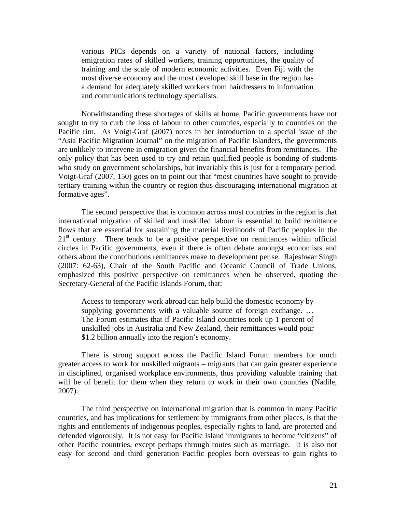various PICs depends on a variety of national factors, including emigration rates of skilled workers, training opportunities, the quality of training and the scale of modern economic activities. Even Fiji with the most diverse economy and the most developed skill base in the region has a demand for adequately skilled workers from hairdressers to information and communications technology specialists.

Notwithstanding these shortages of skills at home, Pacific governments have not sought to try to curb the loss of labour to other countries, especially to countries on the Pacific rim. As Voigt-Graf (2007) notes in her introduction to a special issue of the "Asia Pacific Migration Journal" on the migration of Pacific Islanders, the governments are unlikely to intervene in emigration given the financial benefits from remittances. The only policy that has been used to try and retain qualified people is bonding of students who study on government scholarships, but invariably this is just for a temporary period. Voigt-Graf (2007, 150) goes on to point out that "most countries have sought to provide tertiary training within the country or region thus discouraging international migration at formative ages".

The second perspective that is common across most countries in the region is that international migration of skilled and unskilled labour is essential to build remittance flows that are essential for sustaining the material livelihoods of Pacific peoples in the  $21<sup>st</sup>$  century. There tends to be a positive perspective on remittances within official circles in Pacific governments, even if there is often debate amongst economists and others about the contributions remittances make to development per se. Rajeshwar Singh (2007: 62-63), Chair of the South Pacific and Oceanic Council of Trade Unions, emphasized this positive perspective on remittances when he observed, quoting the Secretary-General of the Pacific Islands Forum, that:

Access to temporary work abroad can help build the domestic economy by supplying governments with a valuable source of foreign exchange. ... The Forum estimates that if Pacific Island countries took up 1 percent of unskilled jobs in Australia and New Zealand, their remittances would pour \$1.2 billion annually into the region's economy.

There is strong support across the Pacific Island Forum members for much greater access to work for unskilled migrants – migrants that can gain greater experience in disciplined, organised workplace environments, thus providing valuable training that will be of benefit for them when they return to work in their own countries (Nadile, 2007).

The third perspective on international migration that is common in many Pacific countries, and has implications for settlement by immigrants from other places, is that the rights and entitlements of indigenous peoples, especially rights to land, are protected and defended vigorously. It is not easy for Pacific Island immigrants to become "citizens" of other Pacific countries, except perhaps through routes such as marriage. It is also not easy for second and third generation Pacific peoples born overseas to gain rights to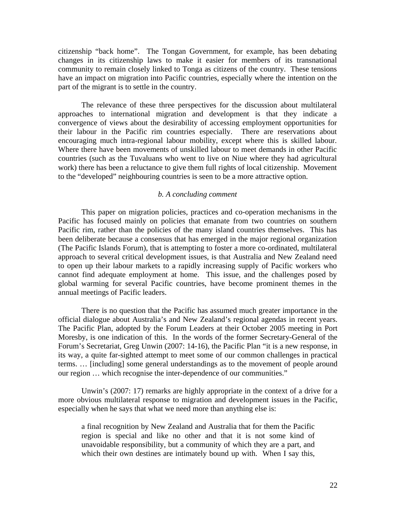citizenship "back home". The Tongan Government, for example, has been debating changes in its citizenship laws to make it easier for members of its transnational community to remain closely linked to Tonga as citizens of the country. These tensions have an impact on migration into Pacific countries, especially where the intention on the part of the migrant is to settle in the country.

The relevance of these three perspectives for the discussion about multilateral approaches to international migration and development is that they indicate a convergence of views about the desirability of accessing employment opportunities for their labour in the Pacific rim countries especially. There are reservations about encouraging much intra-regional labour mobility, except where this is skilled labour. Where there have been movements of unskilled labour to meet demands in other Pacific countries (such as the Tuvaluans who went to live on Niue where they had agricultural work) there has been a reluctance to give them full rights of local citizenship. Movement to the "developed" neighbouring countries is seen to be a more attractive option.

### *b. A concluding comment*

This paper on migration policies, practices and co-operation mechanisms in the Pacific has focused mainly on policies that emanate from two countries on southern Pacific rim, rather than the policies of the many island countries themselves. This has been deliberate because a consensus that has emerged in the major regional organization (The Pacific Islands Forum), that is attempting to foster a more co-ordinated, multilateral approach to several critical development issues, is that Australia and New Zealand need to open up their labour markets to a rapidly increasing supply of Pacific workers who cannot find adequate employment at home. This issue, and the challenges posed by global warming for several Pacific countries, have become prominent themes in the annual meetings of Pacific leaders.

There is no question that the Pacific has assumed much greater importance in the official dialogue about Australia's and New Zealand's regional agendas in recent years. The Pacific Plan, adopted by the Forum Leaders at their October 2005 meeting in Port Moresby, is one indication of this. In the words of the former Secretary-General of the Forum's Secretariat, Greg Unwin (2007: 14-16), the Pacific Plan "it is a new response, in its way, a quite far-sighted attempt to meet some of our common challenges in practical terms. … [including] some general understandings as to the movement of people around our region … which recognise the inter-dependence of our communities."

Unwin's (2007: 17) remarks are highly appropriate in the context of a drive for a more obvious multilateral response to migration and development issues in the Pacific, especially when he says that what we need more than anything else is:

a final recognition by New Zealand and Australia that for them the Pacific region is special and like no other and that it is not some kind of unavoidable responsibility, but a community of which they are a part, and which their own destines are intimately bound up with. When I say this,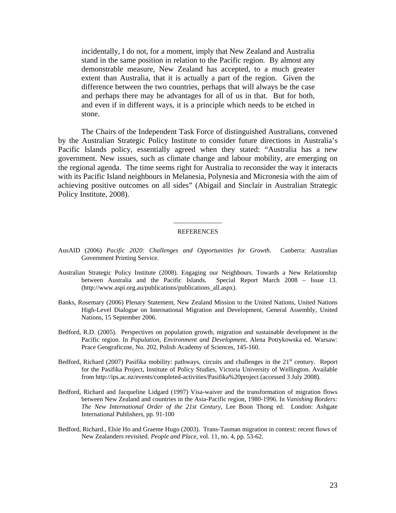incidentally, I do not, for a moment, imply that New Zealand and Australia stand in the same position in relation to the Pacific region. By almost any demonstrable measure, New Zealand has accepted, to a much greater extent than Australia, that it is actually a part of the region. Given the difference between the two countries, perhaps that will always be the case and perhaps there may be advantages for all of us in that. But for both, and even if in different ways, it is a principle which needs to be etched in stone.

The Chairs of the Independent Task Force of distinguished Australians, convened by the Australian Strategic Policy Institute to consider future directions in Australia's Pacific Islands policy, essentially agreed when they stated: "Australia has a new government. New issues, such as climate change and labour mobility, are emerging on the regional agenda. The time seems right for Australia to reconsider the way it interacts with its Pacific Island neighbours in Melanesia, Polynesia and Micronesia with the aim of achieving positive outcomes on all sides" (Abigail and Sinclair in Australian Strategic Policy Institute, 2008).

## \_\_\_\_\_\_\_\_\_\_\_\_\_\_\_ **REFERENCES**

- AusAID (2006) *Pacific 2020: Challenges and Opportunities for Growth*. Canberra: Australian Government Printing Service.
- Australian Strategic Policy Institute (2008). Engaging our Neighbours. Towards a New Relationship between Australia and the Pacific Islands. Special Report March 2008 – Issue 13. (http://www.aspi.org.au/publications/publications\_all.aspx).
- Banks, Rosemary (2006) Plenary Statement, New Zealand Mission to the United Nations, United Nations High-Level Dialogue on International Migration and Development, General Assembly, United Nations, 15 September 2006.
- Bedford, R.D. (2005). Perspectives on population growth, migration and sustainable development in the Pacific region. In *Population, Environment and Development*, Alena Potrykowska ed. Warsaw: Prace Geograficzne, No. 202, Polish Academy of Sciences, 145-160.
- Bedford, Richard (2007) Pasifika mobility: pathways, circuits and challenges in the  $21<sup>st</sup>$  century. Report for the Pasifika Project, Institute of Policy Studies, Victoria University of Wellington. Available from http://ips.ac.nz/events/completed-activities/Pasifika%20project (accessed 3 July 2008).
- Bedford, Richard and Jacqueline Lidgard (1997) Visa-waiver and the transformation of migration flows between New Zealand and countries in the Asia-Pacific region, 1980-1996. In *Vanishing Borders: The New International Order of the 21st Century*, Lee Boon Thong ed. London: Ashgate International Publishers, pp. 91-100
- Bedford, Richard., Elsie Ho and Graeme Hugo (2003). Trans-Tasman migration in context: recent flows of New Zealanders revisited. *People and Place,* vol. 11, no. 4, pp. 53-62.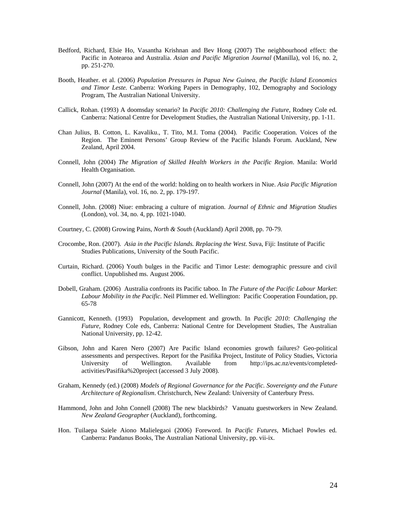- Bedford, Richard, Elsie Ho, Vasantha Krishnan and Bev Hong (2007) The neighbourhood effect: the Pacific in Aotearoa and Australia. *Asian and Pacific Migration Journal* (Manilla), vol 16, no. 2, pp. 251-270.
- Booth, Heather. et al. (2006) *Population Pressures in Papua New Guinea, the Pacific Island Economics and Timor Leste.* Canberra: Working Papers in Demography, 102, Demography and Sociology Program, The Australian National University.
- Callick, Rohan. (1993) A doomsday scenario? In *Pacific 2010: Challenging the Future*, Rodney Cole ed. Canberra: National Centre for Development Studies, the Australian National University, pp. 1-11.
- Chan Julius, B. Cotton, L. Kavaliku., T. Tito, M.I. Toma (2004). Pacific Cooperation. Voices of the Region. The Eminent Persons' Group Review of the Pacific Islands Forum. Auckland, New Zealand, April 2004.
- Connell, John (2004) *The Migration of Skilled Health Workers in the Pacific Region*. Manila: World Health Organisation.
- Connell, John (2007) At the end of the world: holding on to health workers in Niue. *Asia Pacific Migration Journal* (Manila), vol. 16, no. 2, pp. 179-197.
- Connell, John. (2008) Niue: embracing a culture of migration. *Journal of Ethnic and Migration Studies* (London), vol. 34, no. 4, pp. 1021-1040.
- Courtney, C. (2008) Growing Pains, *North & South* (Auckland) April 2008, pp. 70-79.
- Crocombe, Ron. (2007). *Asia in the Pacific Islands. Replacing the West*. Suva, Fiji: Institute of Pacific Studies Publications, University of the South Pacific.
- Curtain, Richard. (2006) Youth bulges in the Pacific and Timor Leste: demographic pressure and civil conflict. Unpublished ms. August 2006.
- Dobell, Graham. (2006) Australia confronts its Pacific taboo. In *The Future of the Pacific Labour Market*: *Labour Mobility in the Pacific*. Neil Plimmer ed. Wellington: Pacific Cooperation Foundation, pp. 65-78
- Gannicott, Kenneth. (1993) Population, development and growth. In *Pacific 2010: Challenging the Future*, Rodney Cole eds, Canberra: National Centre for Development Studies, The Australian National University, pp. 12-42.
- Gibson, John and Karen Nero (2007) Are Pacific Island economies growth failures? Geo-political assessments and perspectives. Report for the Pasifika Project, Institute of Policy Studies, Victoria University of Wellington. Available from http://ips.ac.nz/events/completedactivities/Pasifika%20project (accessed 3 July 2008).
- Graham, Kennedy (ed.) (2008) *Models of Regional Governance for the Pacific. Sovereignty and the Future Architecture of Regionalism*. Christchurch, New Zealand: University of Canterbury Press.
- Hammond, John and John Connell (2008) The new blackbirds? Vanuatu guestworkers in New Zealand. *New Zealand Geographer* (Auckland), forthcoming.
- Hon. Tuilaepa Saiele Aiono Malielegaoi (2006) Foreword. In *Pacific Futures*, Michael Powles ed. Canberra: Pandanus Books, The Australian National University, pp. vii-ix.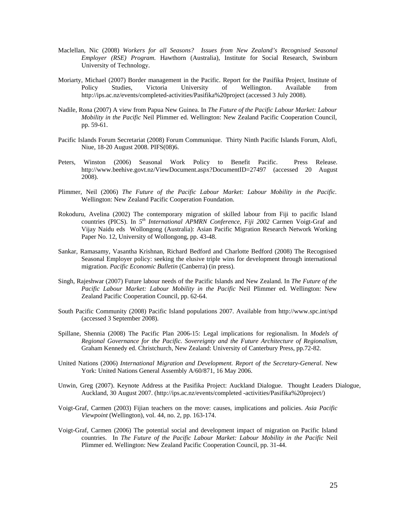- Maclellan, Nic (2008) *Workers for all Seasons? Issues from New Zealand's Recognised Seasonal Employer (RSE) Program.* Hawthorn (Australia), Institute for Social Research, Swinburn University of Technology.
- Moriarty, Michael (2007) Border management in the Pacific. Report for the Pasifika Project, Institute of Policy Studies, Victoria University of Wellington. Available from http://ips.ac.nz/events/completed-activities/Pasifika%20project (accessed 3 July 2008).
- Nadile, Rona (2007) A view from Papua New Guinea. In *The Future of the Pacific Labour Market: Labour Mobility in the Pacific* Neil Plimmer ed. Wellington: New Zealand Pacific Cooperation Council, pp. 59-61.
- Pacific Islands Forum Secretariat (2008) Forum Communique. Thirty Ninth Pacific Islands Forum, Alofi, Niue, 18-20 August 2008. PIFS(08)6.
- Peters, Winston (2006) Seasonal Work Policy to Benefit Pacific. Press Release. http://www.beehive.govt.nz/ViewDocument.aspx?DocumentID=27497 (accessed 20 August 2008).
- Plimmer, Neil (2006) *The Future of the Pacific Labour Market: Labour Mobility in the Pacific.* Wellington: New Zealand Pacific Cooperation Foundation.
- Rokoduru, Avelina (2002) The contemporary migration of skilled labour from Fiji to pacific Island countries (PICS). In *5th International APMRN Conference, Fiji 2002* Carmen Voigt-Graf and Vijay Naidu eds Wollongong (Australia): Asian Pacific Migration Research Network Working Paper No. 12, University of Wollongong, pp. 43-48.
- Sankar, Ramasamy, Vasantha Krishnan, Richard Bedford and Charlotte Bedford (2008) The Recognised Seasonal Employer policy: seeking the elusive triple wins for development through international migration. *Pacific Economic Bulletin* (Canberra) (in press).
- Singh, Rajeshwar (2007) Future labour needs of the Pacific Islands and New Zealand. In *The Future of the Pacific Labour Market: Labour Mobility in the Pacific* Neil Plimmer ed. Wellington: New Zealand Pacific Cooperation Council, pp. 62-64.
- South Pacific Community (2008) Pacific Island populations 2007. Available from http://www.spc.int/spd (accessed 3 September 2008).
- Spillane, Shennia (2008) The Pacific Plan 2006-15: Legal implications for regionalism. In *Models of Regional Governance for the Pacific. Sovereignty and the Future Architecture of Regionalism*, Graham Kennedy ed. Christchurch, New Zealand: University of Canterbury Press, pp.72-82.
- United Nations (2006) *International Migration and Development. Report of the Secretary-General*. New York: United Nations General Assembly A/60/871, 16 May 2006.
- Unwin, Greg (2007). Keynote Address at the Pasifika Project: Auckland Dialogue. Thought Leaders Dialogue, Auckland, 30 August 2007. (http://ips.ac.nz/events/completed -activities/Pasifika%20project/)
- Voigt-Graf, Carmen (2003) Fijian teachers on the move: causes, implications and policies. *Asia Pacific Viewpoint* (Wellington), vol. 44, no. 2, pp. 163-174.
- Voigt-Graf, Carmen (2006) The potential social and development impact of migration on Pacific Island countries. In *The Future of the Pacific Labour Market: Labour Mobility in the Pacific* Neil Plimmer ed. Wellington: New Zealand Pacific Cooperation Council, pp. 31-44.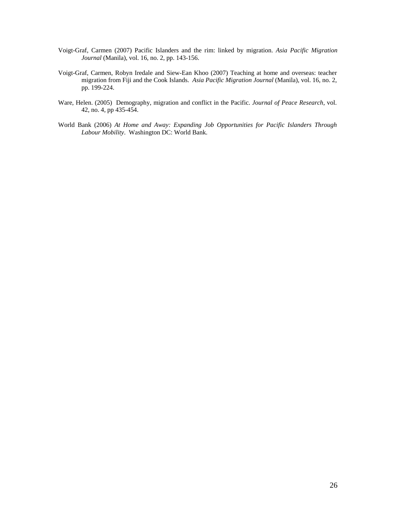- Voigt-Graf, Carmen (2007) Pacific Islanders and the rim: linked by migration. *Asia Pacific Migration Journal* (Manila), vol. 16, no. 2, pp. 143-156.
- Voigt-Graf, Carmen, Robyn Iredale and Siew-Ean Khoo (2007) Teaching at home and overseas: teacher migration from Fiji and the Cook Islands. *Asia Pacific Migration Journal* (Manila), vol. 16, no. 2, pp. 199-224.
- Ware, Helen. (2005) Demography, migration and conflict in the Pacific. *Journal of Peace Research*, vol. 42, no. 4, pp 435-454.
- World Bank (2006) *At Home and Away: Expanding Job Opportunities for Pacific Islanders Through Labour Mobility*. Washington DC: World Bank.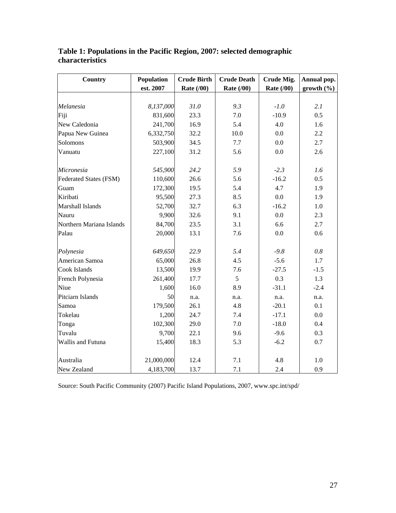| Country                  | Population | <b>Crude Birth</b> | <b>Crude Death</b> | <b>Crude Mig.</b> | Annual pop. |
|--------------------------|------------|--------------------|--------------------|-------------------|-------------|
|                          | est. 2007  | Rate (/00)         | Rate (/00)         | Rate (/00)        | growth (%)  |
|                          |            |                    |                    |                   |             |
| Melanesia                | 8,137,000  | 31.0               | 9.3                | $-1.0$            | 2.1         |
| Fiji                     | 831,600    | 23.3               | 7.0                | $-10.9$           | 0.5         |
| New Caledonia            | 241,700    | 16.9               | 5.4                | 4.0               | 1.6         |
| Papua New Guinea         | 6,332,750  | 32.2               | 10.0               | $0.0\,$           | $2.2\,$     |
| Solomons                 | 503,900    | 34.5               | 7.7                | 0.0               | 2.7         |
| Vanuatu                  | 227,100    | 31.2               | 5.6                | 0.0               | 2.6         |
|                          |            |                    |                    |                   |             |
| Micronesia               | 545,900    | 24.2               | 5.9                | $-2.3$            | 1.6         |
| Federated States (FSM)   | 110,600    | 26.6               | 5.6                | $-16.2$           | 0.5         |
| Guam                     | 172,300    | 19.5               | 5.4                | 4.7               | 1.9         |
| Kiribati                 | 95,500     | 27.3               | 8.5                | 0.0               | 1.9         |
| Marshall Islands         | 52,700     | 32.7               | 6.3                | $-16.2$           | $1.0\,$     |
| Nauru                    | 9,900      | 32.6               | 9.1                | 0.0               | 2.3         |
| Northern Mariana Islands | 84,700     | 23.5               | 3.1                | 6.6               | 2.7         |
| Palau                    | 20,000     | 13.1               | 7.6                | 0.0               | 0.6         |
|                          |            |                    |                    |                   |             |
| Polynesia                | 649,650    | 22.9               | 5.4                | $-9.8$            | $0.8\,$     |
| American Samoa           | 65,000     | 26.8               | 4.5                | $-5.6$            | 1.7         |
| Cook Islands             | 13,500     | 19.9               | 7.6                | $-27.5$           | $-1.5$      |
| French Polynesia         | 261,400    | 17.7               | 5                  | 0.3               | 1.3         |
| Niue                     | 1,600      | 16.0               | 8.9                | $-31.1$           | $-2.4$      |
| Pitciarn Islands         | 50         | n.a.               | n.a.               | n.a.              | n.a.        |
| Samoa                    | 179,500    | 26.1               | 4.8                | $-20.1$           | 0.1         |
| Tokelau                  | 1,200      | 24.7               | 7.4                | $-17.1$           | 0.0         |
| Tonga                    | 102,300    | 29.0               | 7.0                | $-18.0$           | 0.4         |
| Tuvalu                   | 9,700      | 22.1               | 9.6                | $-9.6$            | 0.3         |
| Wallis and Futuna        | 15,400     | 18.3               | 5.3                | $-6.2$            | 0.7         |
|                          |            |                    |                    |                   |             |
| Australia                | 21,000,000 | 12.4               | 7.1                | 4.8               | 1.0         |
| New Zealand              | 4,183,700  | 13.7               | 7.1                | 2.4               | 0.9         |

# **Table 1: Populations in the Pacific Region, 2007: selected demographic characteristics**

Source: South Pacific Community (2007) Pacific Island Populations, 2007, www.spc.int/spd/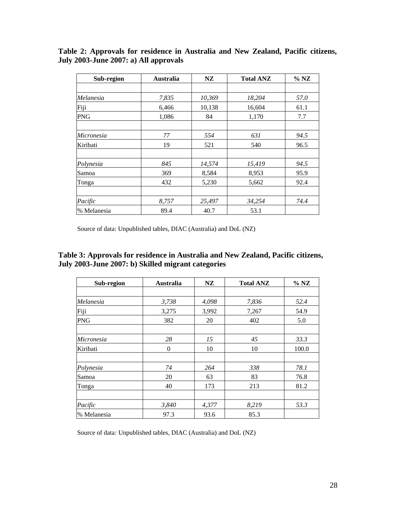**Table 2: Approvals for residence in Australia and New Zealand, Pacific citizens, July 2003-June 2007: a) All approvals** 

| Sub-region  | <b>Australia</b> | <b>NZ</b> | <b>Total ANZ</b> | $\%$ NZ |
|-------------|------------------|-----------|------------------|---------|
|             |                  |           |                  |         |
| Melanesia   | 7,835            | 10,369    | 18,204           | 57.0    |
| Fiji        | 6,466            | 10,138    | 16,604           | 61.1    |
| <b>PNG</b>  | 1,086            | 84        | 1,170            | 7.7     |
|             |                  |           |                  |         |
| Micronesia  | 77               | 554       | 631              | 94.5    |
| Kiribati    | 19               | 521       | 540              | 96.5    |
|             |                  |           |                  |         |
| Polynesia   | 845              | 14,574    | 15,419           | 94.5    |
| Samoa       | 369              | 8,584     | 8,953            | 95.9    |
| Tonga       | 432              | 5,230     | 5,662            | 92.4    |
|             |                  |           |                  |         |
| Pacific     | 8,757            | 25,497    | 34,254           | 74.4    |
| % Melanesia | 89.4             | 40.7      | 53.1             |         |

Source of data: Unpublished tables, DIAC (Australia) and DoL (NZ)

**Table 3: Approvals for residence in Australia and New Zealand, Pacific citizens, July 2003-June 2007: b) Skilled migrant categories**

| Sub-region  | <b>Australia</b> | NZ    | <b>Total ANZ</b> | $%$ NZ |
|-------------|------------------|-------|------------------|--------|
|             |                  |       |                  |        |
| Melanesia   | 3,738            | 4,098 | 7,836            | 52.4   |
| Fiji        | 3,275            | 3,992 | 7,267            | 54.9   |
| <b>PNG</b>  | 382              | 20    | 402              | 5.0    |
|             |                  |       |                  |        |
| Micronesia  | 28               | 15    | 45               | 33.3   |
| Kiribati    | $\theta$         | 10    | 10               | 100.0  |
|             |                  |       |                  |        |
| Polynesia   | 74               | 264   | 338              | 78.1   |
| Samoa       | 20               | 63    | 83               | 76.8   |
| Tonga       | 40               | 173   | 213              | 81.2   |
|             |                  |       |                  |        |
| Pacific     | 3,840            | 4,377 | 8,219            | 53.3   |
| % Melanesia | 97.3             | 93.6  | 85.3             |        |

Source of data*:* Unpublished tables, DIAC (Australia) and DoL (NZ)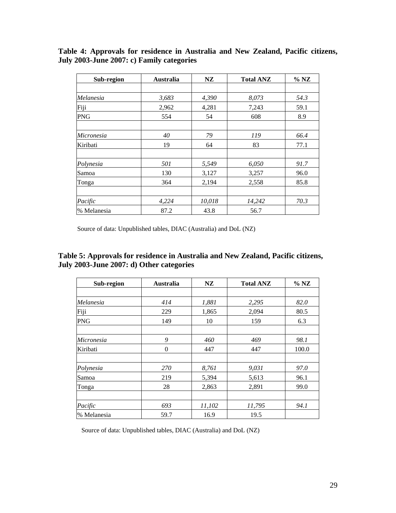**Table 4: Approvals for residence in Australia and New Zealand, Pacific citizens, July 2003-June 2007: c) Family categories** 

| Sub-region  | <b>Australia</b> | <b>NZ</b> | <b>Total ANZ</b> | $%$ NZ |
|-------------|------------------|-----------|------------------|--------|
|             |                  |           |                  |        |
| Melanesia   | 3,683            | 4,390     | 8,073            | 54.3   |
| Fiji        | 2,962            | 4,281     | 7,243            | 59.1   |
| <b>PNG</b>  | 554              | 54        | 608              | 8.9    |
|             |                  |           |                  |        |
| Micronesia  | 40               | 79        | 119              | 66.4   |
| Kiribati    | 19               | 64        | 83               | 77.1   |
|             |                  |           |                  |        |
| Polynesia   | 501              | 5,549     | 6,050            | 91.7   |
| Samoa       | 130              | 3,127     | 3,257            | 96.0   |
| Tonga       | 364              | 2,194     | 2,558            | 85.8   |
|             |                  |           |                  |        |
| Pacific     | 4,224            | 10,018    | 14,242           | 70.3   |
| % Melanesia | 87.2             | 43.8      | 56.7             |        |

Source of data: Unpublished tables, DIAC (Australia) and DoL (NZ)

| Table 5: Approvals for residence in Australia and New Zealand, Pacific citizens, |  |
|----------------------------------------------------------------------------------|--|
| July 2003-June 2007: d) Other categories                                         |  |

| Sub-region  | <b>Australia</b> | NZ     | <b>Total ANZ</b> | $%$ NZ |
|-------------|------------------|--------|------------------|--------|
|             |                  |        |                  |        |
| Melanesia   | 414              | 1,881  | 2,295            | 82.0   |
| Fiji        | 229              | 1,865  | 2,094            | 80.5   |
| <b>PNG</b>  | 149              | 10     | 159              | 6.3    |
|             |                  |        |                  |        |
| Micronesia  | 9                | 460    | 469              | 98.1   |
| Kiribati    | $\theta$         | 447    | 447              | 100.0  |
|             |                  |        |                  |        |
| Polynesia   | 270              | 8,761  | 9,031            | 97.0   |
| Samoa       | 219              | 5,394  | 5,613            | 96.1   |
| Tonga       | 28               | 2,863  | 2,891            | 99.0   |
|             |                  |        |                  |        |
| Pacific     | 693              | 11,102 | 11,795           | 94.1   |
| % Melanesia | 59.7             | 16.9   | 19.5             |        |

Source of data: Unpublished tables, DIAC (Australia) and DoL (NZ)